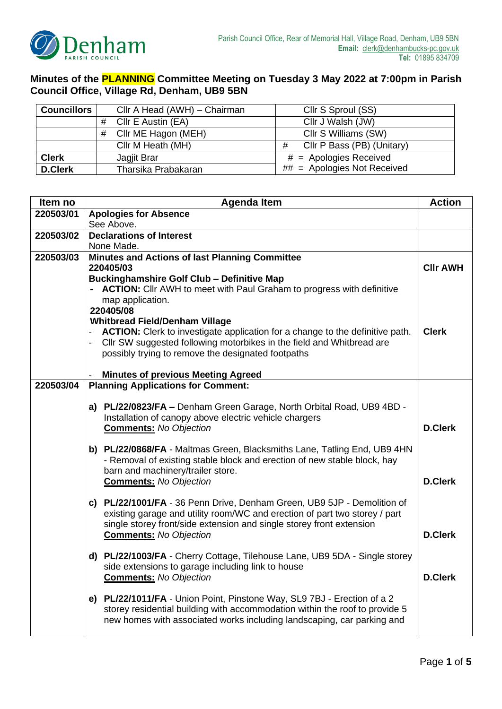

## **Minutes of the PLANNING Committee Meeting on Tuesday 3 May 2022 at 7:00pm in Parish Council Office, Village Rd, Denham, UB9 5BN**

| <b>Councillors</b> | Cllr A Head (AWH) - Chairman | Cllr S Sproul (SS)              |  |
|--------------------|------------------------------|---------------------------------|--|
|                    | Cllr E Austin (EA)           | Cllr J Walsh (JW)               |  |
|                    | Cllr ME Hagon (MEH)<br>#     | Cllr S Williams (SW)            |  |
|                    | Cllr M Heath (MH)            | Cllr P Bass (PB) (Unitary)<br># |  |
| <b>Clerk</b>       | Jagjit Brar                  | $#$ = Apologies Received        |  |
| <b>D.Clerk</b>     | Tharsika Prabakaran          | $##$ = Apologies Not Received   |  |

| Item no   | <b>Agenda Item</b>                                                                                                                                     |                 |
|-----------|--------------------------------------------------------------------------------------------------------------------------------------------------------|-----------------|
| 220503/01 | <b>Apologies for Absence</b>                                                                                                                           |                 |
|           | See Above.                                                                                                                                             |                 |
| 220503/02 | <b>Declarations of Interest</b>                                                                                                                        |                 |
|           | None Made.                                                                                                                                             |                 |
| 220503/03 | <b>Minutes and Actions of last Planning Committee</b><br>220405/03                                                                                     |                 |
|           | <b>Buckinghamshire Golf Club - Definitive Map</b>                                                                                                      | <b>CIIr AWH</b> |
|           | - ACTION: Cllr AWH to meet with Paul Graham to progress with definitive                                                                                |                 |
|           | map application.                                                                                                                                       |                 |
|           | 220405/08                                                                                                                                              |                 |
|           | <b>Whitbread Field/Denham Village</b>                                                                                                                  |                 |
|           | ACTION: Clerk to investigate application for a change to the definitive path.                                                                          | <b>Clerk</b>    |
|           | CIIr SW suggested following motorbikes in the field and Whitbread are                                                                                  |                 |
|           | possibly trying to remove the designated footpaths                                                                                                     |                 |
|           |                                                                                                                                                        |                 |
| 220503/04 | <b>Minutes of previous Meeting Agreed</b><br>$\overline{\phantom{a}}$                                                                                  |                 |
|           | <b>Planning Applications for Comment:</b>                                                                                                              |                 |
|           | a) PL/22/0823/FA - Denham Green Garage, North Orbital Road, UB9 4BD -                                                                                  |                 |
|           | Installation of canopy above electric vehicle chargers                                                                                                 |                 |
|           | <b>Comments:</b> No Objection                                                                                                                          | <b>D.Clerk</b>  |
|           |                                                                                                                                                        |                 |
|           | b) PL/22/0868/FA - Maltmas Green, Blacksmiths Lane, Tatling End, UB9 4HN                                                                               |                 |
|           | - Removal of existing stable block and erection of new stable block, hay                                                                               |                 |
|           | barn and machinery/trailer store.                                                                                                                      |                 |
|           | <b>Comments:</b> No Objection                                                                                                                          | <b>D.Clerk</b>  |
|           | c) PL/22/1001/FA - 36 Penn Drive, Denham Green, UB9 5JP - Demolition of                                                                                |                 |
|           | existing garage and utility room/WC and erection of part two storey / part                                                                             |                 |
|           | single storey front/side extension and single storey front extension                                                                                   |                 |
|           | <b>Comments:</b> No Objection                                                                                                                          | <b>D.Clerk</b>  |
|           |                                                                                                                                                        |                 |
|           | d) PL/22/1003/FA - Cherry Cottage, Tilehouse Lane, UB9 5DA - Single storey                                                                             |                 |
|           | side extensions to garage including link to house                                                                                                      |                 |
|           | <b>Comments:</b> No Objection                                                                                                                          | <b>D.Clerk</b>  |
|           |                                                                                                                                                        |                 |
|           | e) PL/22/1011/FA - Union Point, Pinstone Way, SL9 7BJ - Erection of a 2<br>storey residential building with accommodation within the roof to provide 5 |                 |
|           | new homes with associated works including landscaping, car parking and                                                                                 |                 |
|           |                                                                                                                                                        |                 |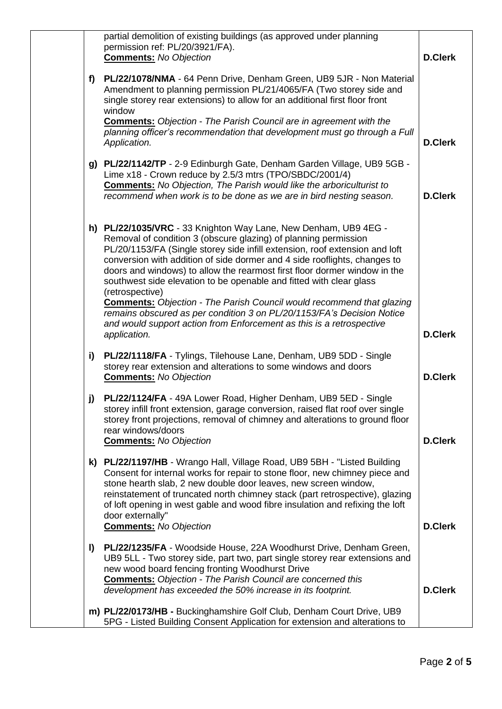|              | partial demolition of existing buildings (as approved under planning<br>permission ref: PL/20/3921/FA).<br><b>Comments:</b> No Objection                                                                                                                                                                                                                                                                                                           | <b>D.Clerk</b> |
|--------------|----------------------------------------------------------------------------------------------------------------------------------------------------------------------------------------------------------------------------------------------------------------------------------------------------------------------------------------------------------------------------------------------------------------------------------------------------|----------------|
| f)           | PL/22/1078/NMA - 64 Penn Drive, Denham Green, UB9 5JR - Non Material<br>Amendment to planning permission PL/21/4065/FA (Two storey side and<br>single storey rear extensions) to allow for an additional first floor front<br>window                                                                                                                                                                                                               |                |
|              | <b>Comments:</b> Objection - The Parish Council are in agreement with the<br>planning officer's recommendation that development must go through a Full<br>Application.                                                                                                                                                                                                                                                                             | <b>D.Clerk</b> |
| g)           | PL/22/1142/TP - 2-9 Edinburgh Gate, Denham Garden Village, UB9 5GB -<br>Lime x18 - Crown reduce by 2.5/3 mtrs (TPO/SBDC/2001/4)<br><b>Comments:</b> No Objection, The Parish would like the arboriculturist to<br>recommend when work is to be done as we are in bird nesting season.                                                                                                                                                              | <b>D.Clerk</b> |
|              | h) PL/22/1035/VRC - 33 Knighton Way Lane, New Denham, UB9 4EG -<br>Removal of condition 3 (obscure glazing) of planning permission<br>PL/20/1153/FA (Single storey side infill extension, roof extension and loft<br>conversion with addition of side dormer and 4 side rooflights, changes to<br>doors and windows) to allow the rearmost first floor dormer window in the<br>southwest side elevation to be openable and fitted with clear glass |                |
|              | (retrospective)<br><b>Comments:</b> Objection - The Parish Council would recommend that glazing<br>remains obscured as per condition 3 on PL/20/1153/FA's Decision Notice<br>and would support action from Enforcement as this is a retrospective<br>application.                                                                                                                                                                                  | <b>D.Clerk</b> |
| i)           | PL/22/1118/FA - Tylings, Tilehouse Lane, Denham, UB9 5DD - Single<br>storey rear extension and alterations to some windows and doors<br><b>Comments:</b> No Objection                                                                                                                                                                                                                                                                              | <b>D.Clerk</b> |
| j)           | PL/22/1124/FA - 49A Lower Road, Higher Denham, UB9 5ED - Single<br>storey infill front extension, garage conversion, raised flat roof over single<br>storey front projections, removal of chimney and alterations to ground floor<br>rear windows/doors<br><b>Comments:</b> No Objection                                                                                                                                                           | <b>D.Clerk</b> |
| k)           | PL/22/1197/HB - Wrango Hall, Village Road, UB9 5BH - "Listed Building<br>Consent for internal works for repair to stone floor, new chimney piece and<br>stone hearth slab, 2 new double door leaves, new screen window,<br>reinstatement of truncated north chimney stack (part retrospective), glazing<br>of loft opening in west gable and wood fibre insulation and refixing the loft<br>door externally"                                       |                |
| $\mathbf{I}$ | <b>Comments:</b> No Objection<br>PL/22/1235/FA - Woodside House, 22A Woodhurst Drive, Denham Green,<br>UB9 5LL - Two storey side, part two, part single storey rear extensions and<br>new wood board fencing fronting Woodhurst Drive<br><b>Comments:</b> Objection - The Parish Council are concerned this                                                                                                                                        | <b>D.Clerk</b> |
|              | development has exceeded the 50% increase in its footprint.<br>m) PL/22/0173/HB - Buckinghamshire Golf Club, Denham Court Drive, UB9<br>5PG - Listed Building Consent Application for extension and alterations to                                                                                                                                                                                                                                 | <b>D.Clerk</b> |
|              |                                                                                                                                                                                                                                                                                                                                                                                                                                                    |                |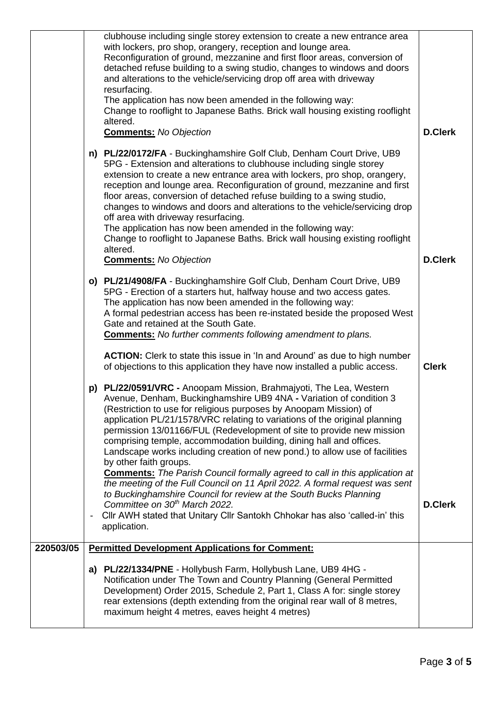|           | clubhouse including single storey extension to create a new entrance area<br>with lockers, pro shop, orangery, reception and lounge area.<br>Reconfiguration of ground, mezzanine and first floor areas, conversion of<br>detached refuse building to a swing studio, changes to windows and doors<br>and alterations to the vehicle/servicing drop off area with driveway<br>resurfacing.<br>The application has now been amended in the following way:<br>Change to rooflight to Japanese Baths. Brick wall housing existing rooflight<br>altered.<br><b>Comments:</b> No Objection                                                                                                                                                                                                                                                                                                                                                                                                                                    | <b>D.Clerk</b> |
|-----------|--------------------------------------------------------------------------------------------------------------------------------------------------------------------------------------------------------------------------------------------------------------------------------------------------------------------------------------------------------------------------------------------------------------------------------------------------------------------------------------------------------------------------------------------------------------------------------------------------------------------------------------------------------------------------------------------------------------------------------------------------------------------------------------------------------------------------------------------------------------------------------------------------------------------------------------------------------------------------------------------------------------------------|----------------|
|           | n) PL/22/0172/FA - Buckinghamshire Golf Club, Denham Court Drive, UB9<br>5PG - Extension and alterations to clubhouse including single storey<br>extension to create a new entrance area with lockers, pro shop, orangery,<br>reception and lounge area. Reconfiguration of ground, mezzanine and first<br>floor areas, conversion of detached refuse building to a swing studio,<br>changes to windows and doors and alterations to the vehicle/servicing drop<br>off area with driveway resurfacing.<br>The application has now been amended in the following way:<br>Change to rooflight to Japanese Baths. Brick wall housing existing rooflight<br>altered.<br><b>Comments:</b> No Objection                                                                                                                                                                                                                                                                                                                        | <b>D.Clerk</b> |
|           | o) PL/21/4908/FA - Buckinghamshire Golf Club, Denham Court Drive, UB9<br>5PG - Erection of a starters hut, halfway house and two access gates.<br>The application has now been amended in the following way:<br>A formal pedestrian access has been re-instated beside the proposed West<br>Gate and retained at the South Gate.<br><b>Comments:</b> No further comments following amendment to plans.<br><b>ACTION:</b> Clerk to state this issue in 'In and Around' as due to high number                                                                                                                                                                                                                                                                                                                                                                                                                                                                                                                              | <b>Clerk</b>   |
|           | of objections to this application they have now installed a public access.<br>p) PL/22/0591/VRC - Anoopam Mission, Brahmajyoti, The Lea, Western<br>Avenue, Denham, Buckinghamshire UB9 4NA - Variation of condition 3<br>(Restriction to use for religious purposes by Anoopam Mission) of<br>application PL/21/1578/VRC relating to variations of the original planning<br>permission 13/01166/FUL (Redevelopment of site to provide new mission<br>comprising temple, accommodation building, dining hall and offices.<br>Landscape works including creation of new pond.) to allow use of facilities<br>by other faith groups.<br><b>Comments:</b> The Parish Council formally agreed to call in this application at<br>the meeting of the Full Council on 11 April 2022. A formal request was sent<br>to Buckinghamshire Council for review at the South Bucks Planning<br>Committee on 30 <sup>th</sup> March 2022.<br>Cllr AWH stated that Unitary Cllr Santokh Chhokar has also 'called-in' this<br>application. | <b>D.Clerk</b> |
| 220503/05 | <b>Permitted Development Applications for Comment:</b>                                                                                                                                                                                                                                                                                                                                                                                                                                                                                                                                                                                                                                                                                                                                                                                                                                                                                                                                                                   |                |
|           | a) PL/22/1334/PNE - Hollybush Farm, Hollybush Lane, UB9 4HG -<br>Notification under The Town and Country Planning (General Permitted<br>Development) Order 2015, Schedule 2, Part 1, Class A for: single storey<br>rear extensions (depth extending from the original rear wall of 8 metres,<br>maximum height 4 metres, eaves height 4 metres)                                                                                                                                                                                                                                                                                                                                                                                                                                                                                                                                                                                                                                                                          |                |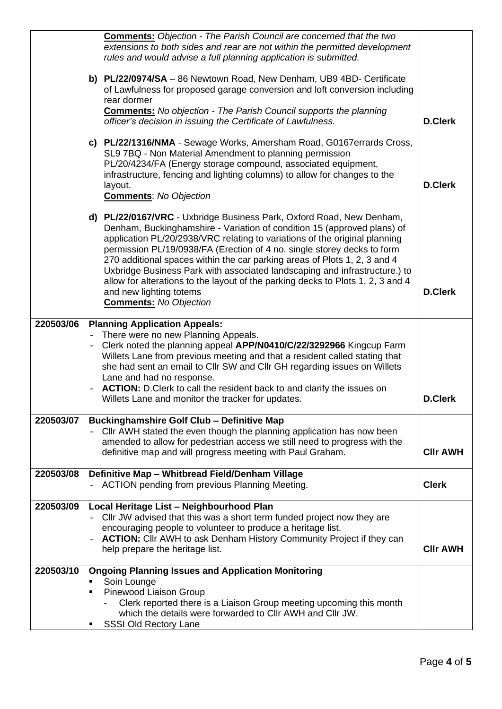|           | <b>Comments:</b> Objection - The Parish Council are concerned that the two<br>extensions to both sides and rear are not within the permitted development<br>rules and would advise a full planning application is submitted.                                                                                                                                                                                                                                                                                                                                                                                       |                 |
|-----------|--------------------------------------------------------------------------------------------------------------------------------------------------------------------------------------------------------------------------------------------------------------------------------------------------------------------------------------------------------------------------------------------------------------------------------------------------------------------------------------------------------------------------------------------------------------------------------------------------------------------|-----------------|
|           | b) PL/22/0974/SA - 86 Newtown Road, New Denham, UB9 4BD- Certificate<br>of Lawfulness for proposed garage conversion and loft conversion including<br>rear dormer                                                                                                                                                                                                                                                                                                                                                                                                                                                  |                 |
|           | <b>Comments:</b> No objection - The Parish Council supports the planning<br>officer's decision in issuing the Certificate of Lawfulness.                                                                                                                                                                                                                                                                                                                                                                                                                                                                           | <b>D.Clerk</b>  |
|           | c) PL/22/1316/NMA - Sewage Works, Amersham Road, G0167errards Cross,<br>SL9 7BQ - Non Material Amendment to planning permission<br>PL/20/4234/FA (Energy storage compound, associated equipment,<br>infrastructure, fencing and lighting columns) to allow for changes to the<br>layout.<br><b>Comments: No Objection</b>                                                                                                                                                                                                                                                                                          | <b>D.Clerk</b>  |
|           | d) PL/22/0167/VRC - Uxbridge Business Park, Oxford Road, New Denham,<br>Denham, Buckinghamshire - Variation of condition 15 (approved plans) of<br>application PL/20/2938/VRC relating to variations of the original planning<br>permission PL/19/0938/FA (Erection of 4 no. single storey decks to form<br>270 additional spaces within the car parking areas of Plots 1, 2, 3 and 4<br>Uxbridge Business Park with associated landscaping and infrastructure.) to<br>allow for alterations to the layout of the parking decks to Plots 1, 2, 3 and 4<br>and new lighting totems<br><b>Comments:</b> No Objection | <b>D.Clerk</b>  |
| 220503/06 | <b>Planning Application Appeals:</b><br>There were no new Planning Appeals.                                                                                                                                                                                                                                                                                                                                                                                                                                                                                                                                        |                 |
|           | Clerk noted the planning appeal APP/N0410/C/22/3292966 Kingcup Farm<br>Willets Lane from previous meeting and that a resident called stating that<br>she had sent an email to Cllr SW and Cllr GH regarding issues on Willets<br>Lane and had no response.                                                                                                                                                                                                                                                                                                                                                         |                 |
|           | <b>ACTION:</b> D. Clerk to call the resident back to and clarify the issues on<br>Willets Lane and monitor the tracker for updates.                                                                                                                                                                                                                                                                                                                                                                                                                                                                                | <b>D.Clerk</b>  |
| 220503/07 | <b>Buckinghamshire Golf Club - Definitive Map</b><br>Cllr AWH stated the even though the planning application has now been<br>amended to allow for pedestrian access we still need to progress with the<br>definitive map and will progress meeting with Paul Graham.                                                                                                                                                                                                                                                                                                                                              | <b>CIIr AWH</b> |
| 220503/08 | Definitive Map - Whitbread Field/Denham Village<br>- ACTION pending from previous Planning Meeting.                                                                                                                                                                                                                                                                                                                                                                                                                                                                                                                | <b>Clerk</b>    |
| 220503/09 | Local Heritage List - Neighbourhood Plan<br>Cllr JW advised that this was a short term funded project now they are<br>encouraging people to volunteer to produce a heritage list.<br><b>ACTION:</b> Cllr AWH to ask Denham History Community Project if they can<br>help prepare the heritage list.                                                                                                                                                                                                                                                                                                                | <b>CIIr AWH</b> |
| 220503/10 | <b>Ongoing Planning Issues and Application Monitoring</b><br>Soin Lounge<br>$\blacksquare$<br>Pinewood Liaison Group<br>٠<br>Clerk reported there is a Liaison Group meeting upcoming this month<br>which the details were forwarded to CIIr AWH and CIIr JW.<br><b>SSSI Old Rectory Lane</b>                                                                                                                                                                                                                                                                                                                      |                 |